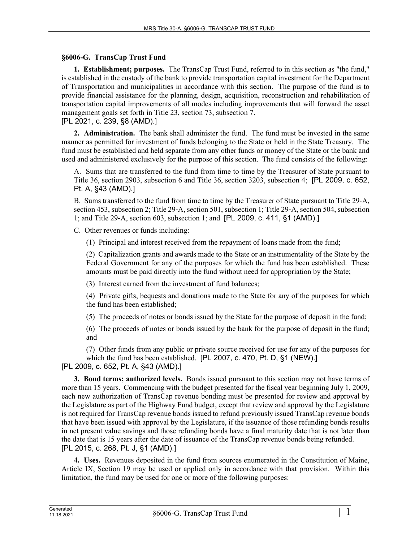## **§6006-G. TransCap Trust Fund**

**1. Establishment; purposes.** The TransCap Trust Fund, referred to in this section as "the fund," is established in the custody of the bank to provide transportation capital investment for the Department of Transportation and municipalities in accordance with this section. The purpose of the fund is to provide financial assistance for the planning, design, acquisition, reconstruction and rehabilitation of transportation capital improvements of all modes including improvements that will forward the asset management goals set forth in Title 23, section 73, subsection 7.

[PL 2021, c. 239, §8 (AMD).]

**2. Administration.** The bank shall administer the fund. The fund must be invested in the same manner as permitted for investment of funds belonging to the State or held in the State Treasury. The fund must be established and held separate from any other funds or money of the State or the bank and used and administered exclusively for the purpose of this section. The fund consists of the following:

A. Sums that are transferred to the fund from time to time by the Treasurer of State pursuant to Title 36, section 2903, subsection 6 and Title 36, section 3203, subsection 4; [PL 2009, c. 652, Pt. A, §43 (AMD).]

B. Sums transferred to the fund from time to time by the Treasurer of State pursuant to Title 29‑A, section 453, subsection 2; Title 29-A, section 501, subsection 1; Title 29-A, section 504, subsection 1; and Title 29‑A, section 603, subsection 1; and [PL 2009, c. 411, §1 (AMD).]

C. Other revenues or funds including:

(1) Principal and interest received from the repayment of loans made from the fund;

(2) Capitalization grants and awards made to the State or an instrumentality of the State by the Federal Government for any of the purposes for which the fund has been established. These amounts must be paid directly into the fund without need for appropriation by the State;

(3) Interest earned from the investment of fund balances;

(4) Private gifts, bequests and donations made to the State for any of the purposes for which the fund has been established;

(5) The proceeds of notes or bonds issued by the State for the purpose of deposit in the fund;

(6) The proceeds of notes or bonds issued by the bank for the purpose of deposit in the fund; and

(7) Other funds from any public or private source received for use for any of the purposes for which the fund has been established. [PL 2007, c. 470, Pt. D, §1 (NEW).]

[PL 2009, c. 652, Pt. A, §43 (AMD).]

**3. Bond terms; authorized levels.** Bonds issued pursuant to this section may not have terms of more than 15 years. Commencing with the budget presented for the fiscal year beginning July 1, 2009, each new authorization of TransCap revenue bonding must be presented for review and approval by the Legislature as part of the Highway Fund budget, except that review and approval by the Legislature is not required for TransCap revenue bonds issued to refund previously issued TransCap revenue bonds that have been issued with approval by the Legislature, if the issuance of those refunding bonds results in net present value savings and those refunding bonds have a final maturity date that is not later than the date that is 15 years after the date of issuance of the TransCap revenue bonds being refunded. [PL 2015, c. 268, Pt. J, §1 (AMD).]

**4. Uses.** Revenues deposited in the fund from sources enumerated in the Constitution of Maine, Article IX, Section 19 may be used or applied only in accordance with that provision. Within this limitation, the fund may be used for one or more of the following purposes: